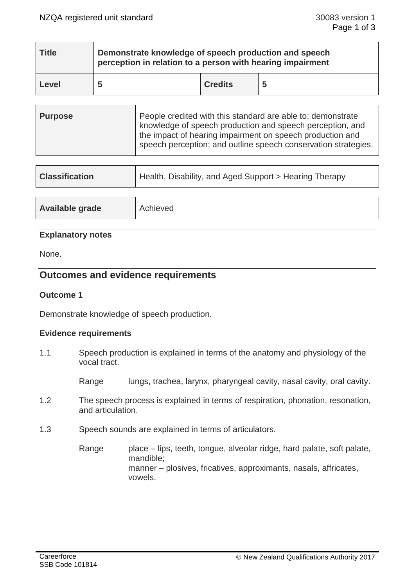| <b>Title</b> | Demonstrate knowledge of speech production and speech<br>perception in relation to a person with hearing impairment |                |   |  |
|--------------|---------------------------------------------------------------------------------------------------------------------|----------------|---|--|
| Level        |                                                                                                                     | <b>Credits</b> | 5 |  |

| <b>Purpose</b> | People credited with this standard are able to: demonstrate<br>knowledge of speech production and speech perception, and<br>the impact of hearing impairment on speech production and<br>speech perception; and outline speech conservation strategies. |
|----------------|---------------------------------------------------------------------------------------------------------------------------------------------------------------------------------------------------------------------------------------------------------|
|                |                                                                                                                                                                                                                                                         |

| <b>Classification</b>  | Health, Disability, and Aged Support > Hearing Therapy |  |
|------------------------|--------------------------------------------------------|--|
|                        |                                                        |  |
| <b>Available grade</b> | Achieved                                               |  |

## **Explanatory notes**

None.

# **Outcomes and evidence requirements**

## **Outcome 1**

Demonstrate knowledge of speech production.

## **Evidence requirements**

1.1 Speech production is explained in terms of the anatomy and physiology of the vocal tract.

Range lungs, trachea, larynx, pharyngeal cavity, nasal cavity, oral cavity.

- 1.2 The speech process is explained in terms of respiration, phonation, resonation, and articulation.
- 1.3 Speech sounds are explained in terms of articulators.

Range place – lips, teeth, tongue, alveolar ridge, hard palate, soft palate, mandible; manner – plosives, fricatives, approximants, nasals, affricates, vowels.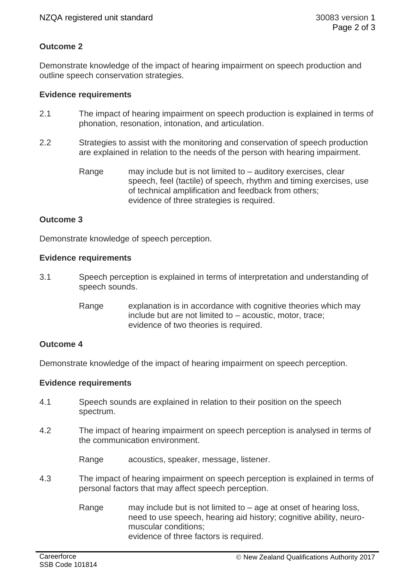# **Outcome 2**

Demonstrate knowledge of the impact of hearing impairment on speech production and outline speech conservation strategies.

### **Evidence requirements**

- 2.1 The impact of hearing impairment on speech production is explained in terms of phonation, resonation, intonation, and articulation.
- 2.2 Strategies to assist with the monitoring and conservation of speech production are explained in relation to the needs of the person with hearing impairment.
	- Range may include but is not limited to auditory exercises, clear speech, feel (tactile) of speech, rhythm and timing exercises, use of technical amplification and feedback from others; evidence of three strategies is required.

## **Outcome 3**

Demonstrate knowledge of speech perception.

#### **Evidence requirements**

- 3.1 Speech perception is explained in terms of interpretation and understanding of speech sounds.
	- Range explanation is in accordance with cognitive theories which may include but are not limited to – acoustic, motor, trace; evidence of two theories is required.

## **Outcome 4**

Demonstrate knowledge of the impact of hearing impairment on speech perception.

#### **Evidence requirements**

- 4.1 Speech sounds are explained in relation to their position on the speech spectrum.
- 4.2 The impact of hearing impairment on speech perception is analysed in terms of the communication environment.

Range acoustics, speaker, message, listener.

- 4.3 The impact of hearing impairment on speech perception is explained in terms of personal factors that may affect speech perception.
	- Range may include but is not limited to  $-$  age at onset of hearing loss, need to use speech, hearing aid history; cognitive ability, neuromuscular conditions; evidence of three factors is required.